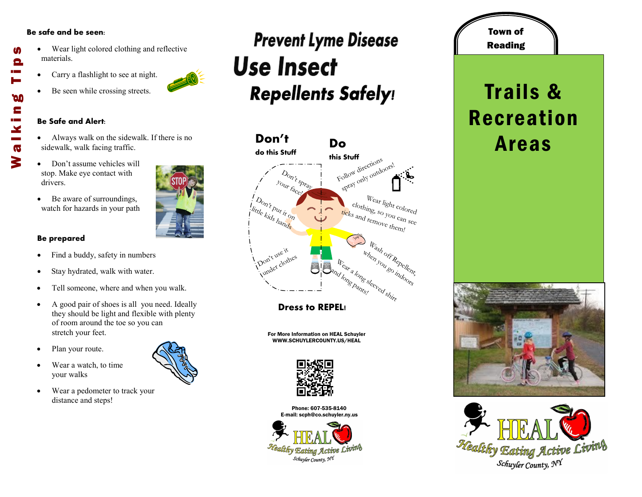#### **Be safe and be seen:**

- Wear light colored clothing and reflective materials. Walking Tips
	- Carry a flashlight to see at night.
	- Be seen while crossing streets.

#### **Be Safe and Alert:**

- Always walk on the sidewalk. If there is no sidewalk, walk facing traffic.
- Don't assume vehicles will stop. Make eye contact with drivers.
- Be aware of surroundings, watch for hazards in your path

### **Be prepared**

- Find a buddy, safety in numbers
- Stay hydrated, walk with water.
- Tell someone, where and when you walk.
- A good pair of shoes is all you need. Ideally they should be light and flexible with plenty of room around the toe so you can stretch your feet.
- Plan your route.
- Wear a watch, to time your walks
- Wear a pedometer to track your distance and steps!

### **Prevent Lyme Disease Use Insect Repellents Safely!**



**Dress to REPEL!**

For More Information on HEAL Schuyler WWW.SCHUYLERCOUNTY.US/HEAL



Phone: 607-535-8140 E-mail: scph@co.schuyler.ny.us



## Reading Trails & Recreation Areas

Town of







M

Θ

**DO** E

 $\mathbf{x}$  $\overline{\mathbf{G}}$ 3